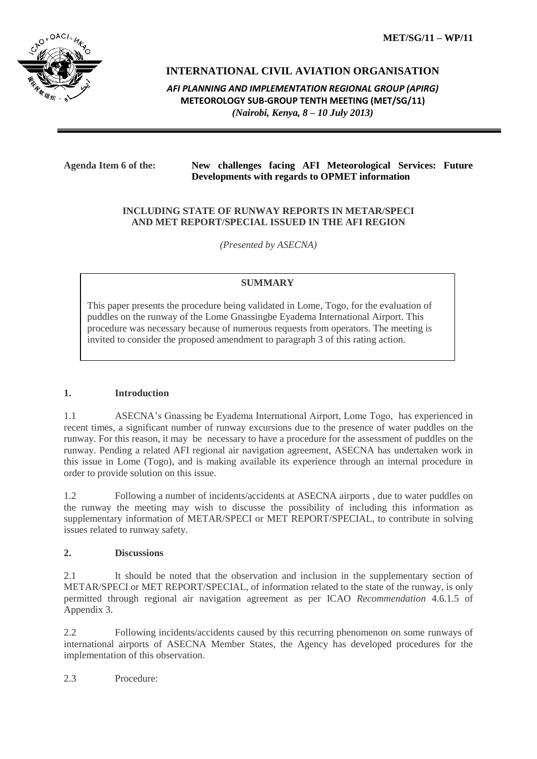**MET/SG/11 – WP/11**



# **INTERNATIONAL CIVIL AVIATION ORGANISATION**

*AFI PLANNING AND IMPLEMENTATION REGIONAL GROUP (APIRG)* **METEOROLOGY SUB-GROUP TENTH MEETING (MET/SG/11)** *(Nairobi, Kenya, 8 – 10 July 2013)*

## **Agenda Item 6 of the: New challenges facing AFI Meteorological Services: Future Developments with regards to OPMET information**

#### **INCLUDING STATE OF RUNWAY REPORTS IN METAR/SPECI AND MET REPORT/SPECIAL ISSUED IN THE AFI REGION**

*(Presented by ASECNA)*

# **SUMMARY**

This paper presents the procedure being validated in Lome, Togo, for the evaluation of puddles on the runway of the Lome Gnassingbe Eyadema International Airport. This procedure was necessary because of numerous requests from operators. The meeting is invited to consider the proposed amendment to paragraph 3 of this rating action.

#### **1. Introduction**

1.1 ASECNA's Gnassing be Eyadema International Airport, Lome Togo, has experienced in recent times, a significant number of runway excursions due to the presence of water puddles on the runway. For this reason, it may be necessary to have a procedure for the assessment of puddles on the runway. Pending a related AFI regional air navigation agreement, ASECNA has undertaken work in this issue in Lome (Togo), and is making available its experience through an internal procedure in order to provide solution on this issue.

1.2 Following a number of incidents/accidents at ASECNA airports , due to water puddles on the runway the meeting may wish to discusse the possibility of including this information as supplementary information of METAR/SPECI or MET REPORT/SPECIAL, to contribute in solving issues related to runway safety.

#### **2. Discussions**

2.1 It should be noted that the observation and inclusion in the supplementary section of METAR/SPECI or MET REPORT/SPECIAL, of information related to the state of the runway, is only permitted through regional air navigation agreement as per ICAO *Recommendation* 4.6.1.5 of Appendix 3.

2.2 Following incidents/accidents caused by this recurring phenomenon on some runways of international airports of ASECNA Member States, the Agency has developed procedures for the implementation of this observation.

2.3 Procedure: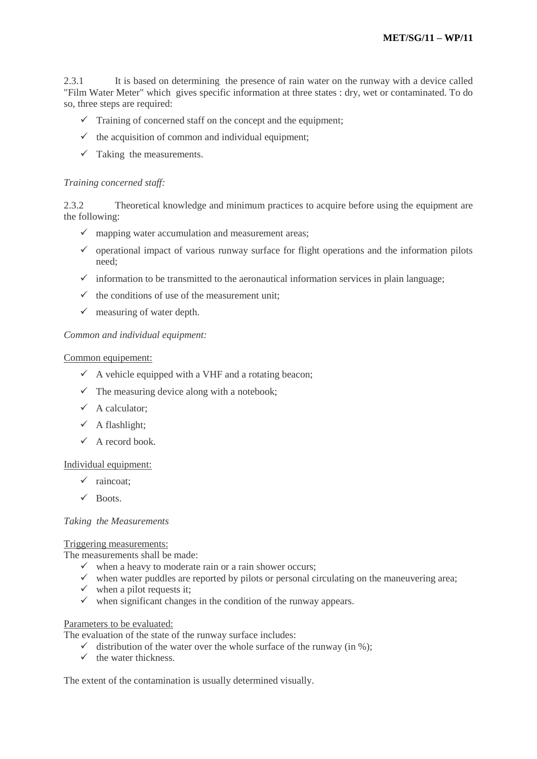2.3.1 It is based on determining the presence of rain water on the runway with a device called "Film Water Meter" which gives specific information at three states : dry, wet or contaminated. To do so, three steps are required:

- $\checkmark$  Training of concerned staff on the concept and the equipment;
- $\checkmark$  the acquisition of common and individual equipment;
- $\checkmark$  Taking the measurements.

#### *Training concerned staff:*

2.3.2 Theoretical knowledge and minimum practices to acquire before using the equipment are the following:

- $\checkmark$  mapping water accumulation and measurement areas;
- $\checkmark$  operational impact of various runway surface for flight operations and the information pilots need;
- $\checkmark$  information to be transmitted to the aeronautical information services in plain language;
- $\checkmark$  the conditions of use of the measurement unit;
- $\checkmark$  measuring of water depth.

## *Common and individual equipment:*

#### Common equipement:

- $\checkmark$  A vehicle equipped with a VHF and a rotating beacon;
- $\checkmark$  The measuring device along with a notebook;
- $\checkmark$  A calculator;
- $\checkmark$  A flashlight;
- $\checkmark$  A record book.

#### Individual equipment:

- $\checkmark$  raincoat;
- $\checkmark$  Boots.

## *Taking the Measurements*

#### Triggering measurements:

The measurements shall be made:

- $\checkmark$  when a heavy to moderate rain or a rain shower occurs;
- $\checkmark$  when water puddles are reported by pilots or personal circulating on the maneuvering area;
- $\checkmark$  when a pilot requests it;
- $\checkmark$  when significant changes in the condition of the runway appears.

#### Parameters to be evaluated:

The evaluation of the state of the runway surface includes:

- $\checkmark$  distribution of the water over the whole surface of the runway (in %);
- $\checkmark$  the water thickness.

The extent of the contamination is usually determined visually.